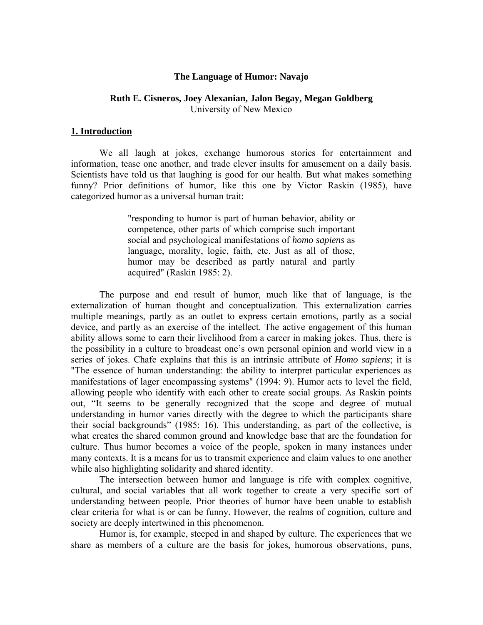#### **The Language of Humor: Navajo**

#### **Ruth E. Cisneros, Joey Alexanian, Jalon Begay, Megan Goldberg**  University of New Mexico

#### **1. Introduction**

 We all laugh at jokes, exchange humorous stories for entertainment and information, tease one another, and trade clever insults for amusement on a daily basis. Scientists have told us that laughing is good for our health. But what makes something funny? Prior definitions of humor, like this one by Victor Raskin (1985), have categorized humor as a universal human trait:

> "responding to humor is part of human behavior, ability or competence, other parts of which comprise such important social and psychological manifestations of *homo sapiens* as language, morality, logic, faith, etc. Just as all of those, humor may be described as partly natural and partly acquired" (Raskin 1985: 2).

 The purpose and end result of humor, much like that of language, is the externalization of human thought and conceptualization. This externalization carries multiple meanings, partly as an outlet to express certain emotions, partly as a social device, and partly as an exercise of the intellect. The active engagement of this human ability allows some to earn their livelihood from a career in making jokes. Thus, there is the possibility in a culture to broadcast one's own personal opinion and world view in a series of jokes. Chafe explains that this is an intrinsic attribute of *Homo sapiens*; it is "The essence of human understanding: the ability to interpret particular experiences as manifestations of lager encompassing systems" (1994: 9). Humor acts to level the field, allowing people who identify with each other to create social groups. As Raskin points out, "It seems to be generally recognized that the scope and degree of mutual understanding in humor varies directly with the degree to which the participants share their social backgrounds" (1985: 16). This understanding, as part of the collective, is what creates the shared common ground and knowledge base that are the foundation for culture. Thus humor becomes a voice of the people, spoken in many instances under many contexts. It is a means for us to transmit experience and claim values to one another while also highlighting solidarity and shared identity.

 The intersection between humor and language is rife with complex cognitive, cultural, and social variables that all work together to create a very specific sort of understanding between people. Prior theories of humor have been unable to establish clear criteria for what is or can be funny. However, the realms of cognition, culture and society are deeply intertwined in this phenomenon.

 Humor is, for example, steeped in and shaped by culture. The experiences that we share as members of a culture are the basis for jokes, humorous observations, puns,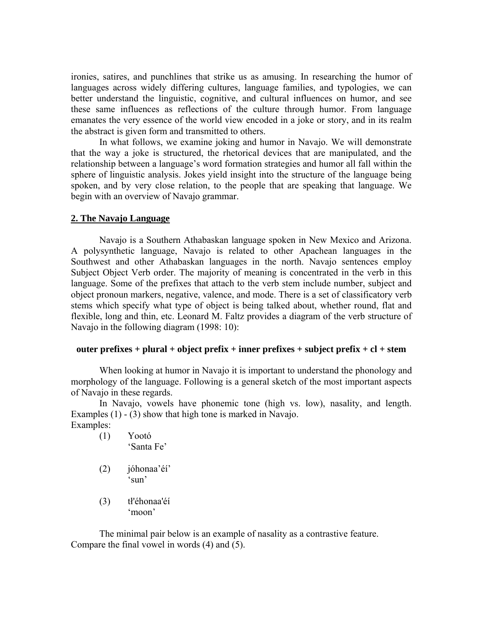ironies, satires, and punchlines that strike us as amusing. In researching the humor of languages across widely differing cultures, language families, and typologies, we can better understand the linguistic, cognitive, and cultural influences on humor, and see these same influences as reflections of the culture through humor. From language emanates the very essence of the world view encoded in a joke or story, and in its realm the abstract is given form and transmitted to others.

In what follows, we examine joking and humor in Navajo. We will demonstrate that the way a joke is structured, the rhetorical devices that are manipulated, and the relationship between a language's word formation strategies and humor all fall within the sphere of linguistic analysis. Jokes yield insight into the structure of the language being spoken, and by very close relation, to the people that are speaking that language. We begin with an overview of Navajo grammar.

### **2. The Navajo Language**

Navajo is a Southern Athabaskan language spoken in New Mexico and Arizona. A polysynthetic language, Navajo is related to other Apachean languages in the Southwest and other Athabaskan languages in the north. Navajo sentences employ Subject Object Verb order. The majority of meaning is concentrated in the verb in this language. Some of the prefixes that attach to the verb stem include number, subject and object pronoun markers, negative, valence, and mode. There is a set of classificatory verb stems which specify what type of object is being talked about, whether round, flat and flexible, long and thin, etc. Leonard M. Faltz provides a diagram of the verb structure of Navajo in the following diagram (1998: 10):

### **outer prefixes + plural + object prefix + inner prefixes + subject prefix + cl + stem**

When looking at humor in Navajo it is important to understand the phonology and morphology of the language. Following is a general sketch of the most important aspects of Navajo in these regards.

In Navajo, vowels have phonemic tone (high vs. low), nasality, and length. Examples (1) - (3) show that high tone is marked in Navajo. Examples:

| L'Autorius. | Yootó                |
|-------------|----------------------|
| (1)         | 'Santa Fe'           |
| (2)         | jóhonaa'éí'<br>'sun' |

 (3) tł'éhonaa'éí 'moon'

 The minimal pair below is an example of nasality as a contrastive feature. Compare the final vowel in words (4) and (5).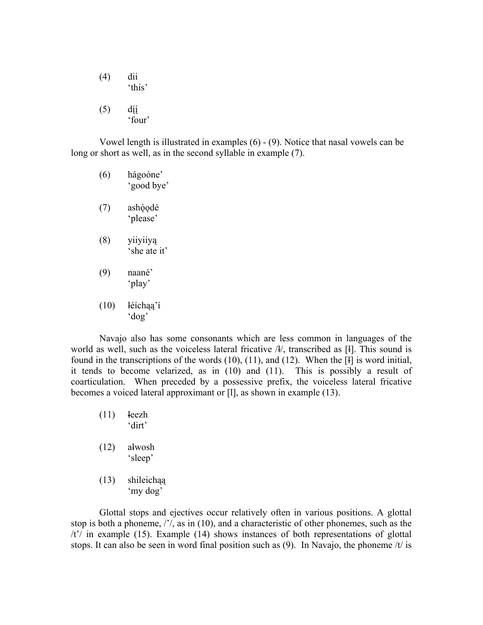(4) dii 'this'  $(5)$  dį́į 'four'

 Vowel length is illustrated in examples (6) - (9). Notice that nasal vowels can be long or short as well, as in the second syllable in example (7).

- (6) hágoóne' 'good bye'
- (7) ash $\phi$ dé 'please'
- (8) yiiyiiyą 'she ate it'
- (9) naané' 'play'
- (10) léíchąą'í 'dog'

Navajo also has some consonants which are less common in languages of the world as well, such as the voiceless lateral fricative  $\lambda/$ , transcribed as [1]. This sound is found in the transcriptions of the words  $(10)$ ,  $(11)$ , and  $(12)$ . When the  $[1]$  is word initial, it tends to become velarized, as in (10) and (11). This is possibly a result of coarticulation. When preceded by a possessive prefix, the voiceless lateral fricative becomes a voiced lateral approximant or [l], as shown in example (13).

 (11) leezh 'dirt' (12) alwosh 'sleep' (13) shileichąą

'my dog'

 Glottal stops and ejectives occur relatively often in various positions. A glottal stop is both a phoneme, /'/, as in (10), and a characteristic of other phonemes, such as the  $/t^{\prime}$  in example (15). Example (14) shows instances of both representations of glottal stops. It can also be seen in word final position such as (9). In Navajo, the phoneme /t/ is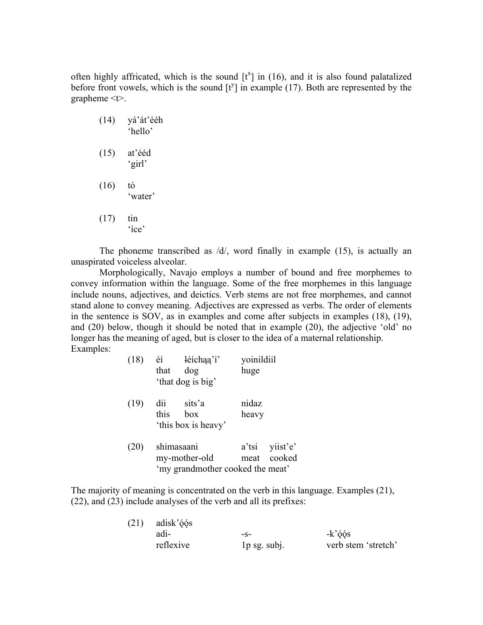often highly affricated, which is the sound  $[t^x]$  in (16), and it is also found palatalized before front vowels, which is the sound  $[t^y]$  in example (17). Both are represented by the grapheme <t>.

| (14) | yá'át'ééh<br>'hello' |
|------|----------------------|
| (15) | at'ééd<br>'girl'     |
| (16) | tó<br>'water'        |
| (17) | tın<br>'íce'         |

 The phoneme transcribed as /d/, word finally in example (15), is actually an unaspirated voiceless alveolar.

Morphologically, Navajo employs a number of bound and free morphemes to convey information within the language. Some of the free morphemes in this language include nouns, adjectives, and deictics. Verb stems are not free morphemes, and cannot stand alone to convey meaning. Adjectives are expressed as verbs. The order of elements in the sentence is SOV, as in examples and come after subjects in examples (18), (19), and (20) below, though it should be noted that in example (20), the adjective 'old' no longer has the meaning of aged, but is closer to the idea of a maternal relationship. Examples:

| (18) | éi léíchaa'í'<br>that dog<br>'that dog is big'      | yoinildiil<br>huge                                                |
|------|-----------------------------------------------------|-------------------------------------------------------------------|
| (19) | dii<br>sits'a<br>this<br>box<br>'this box is heavy' | nidaz<br>heavy                                                    |
| (20) | shimasaani<br>my-mother-old                         | a'tsi yiist'e'<br>meat cooked<br>'my grandmother cooked the meat' |

The majority of meaning is concentrated on the verb in this language. Examples (21), (22), and (23) include analyses of the verb and all its prefixes:

| $(21)$ adisk' $\phi$ ós |                |                     |
|-------------------------|----------------|---------------------|
| adi-                    | $-S-$          | $-k'$ óós           |
| reflexive               | $1p$ sg. subj. | verb stem 'stretch' |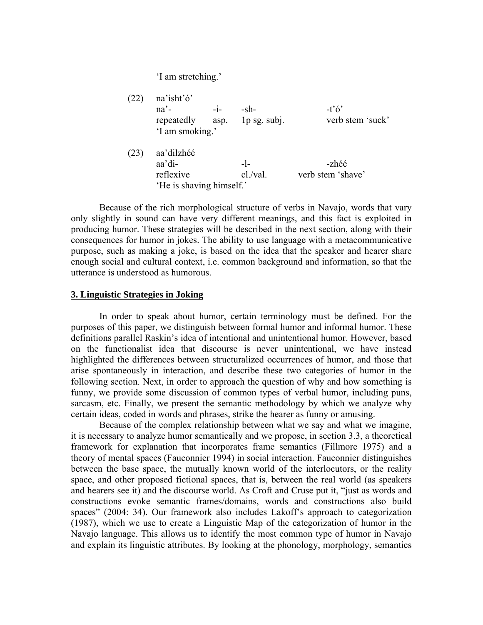'I am stretching.'

| 22   | na'isht'ó'<br>$na'$ -<br>repeatedly<br>'I am smoking.'        | $-i-$ | -sh-<br>asp. 1p sg. subj. | $-t' \dot{o}$<br>verb stem 'suck' |
|------|---------------------------------------------------------------|-------|---------------------------|-----------------------------------|
| (23) | aa'dilzhéé<br>aa'di-<br>reflexive<br>'He is shaving himself.' |       | -1-<br>$cl$ /val.         | -zhéé<br>verb stem 'shave'        |

 Because of the rich morphological structure of verbs in Navajo, words that vary only slightly in sound can have very different meanings, and this fact is exploited in producing humor. These strategies will be described in the next section, along with their consequences for humor in jokes. The ability to use language with a metacommunicative purpose, such as making a joke, is based on the idea that the speaker and hearer share enough social and cultural context, i.e. common background and information, so that the utterance is understood as humorous.

### **3. Linguistic Strategies in Joking**

 In order to speak about humor, certain terminology must be defined. For the purposes of this paper, we distinguish between formal humor and informal humor. These definitions parallel Raskin's idea of intentional and unintentional humor. However, based on the functionalist idea that discourse is never unintentional, we have instead highlighted the differences between structuralized occurrences of humor, and those that arise spontaneously in interaction, and describe these two categories of humor in the following section. Next, in order to approach the question of why and how something is funny, we provide some discussion of common types of verbal humor, including puns, sarcasm, etc. Finally, we present the semantic methodology by which we analyze why certain ideas, coded in words and phrases, strike the hearer as funny or amusing.

Because of the complex relationship between what we say and what we imagine, it is necessary to analyze humor semantically and we propose, in section 3.3, a theoretical framework for explanation that incorporates frame semantics (Fillmore 1975) and a theory of mental spaces (Fauconnier 1994) in social interaction. Fauconnier distinguishes between the base space, the mutually known world of the interlocutors, or the reality space, and other proposed fictional spaces, that is, between the real world (as speakers and hearers see it) and the discourse world. As Croft and Cruse put it, "just as words and constructions evoke semantic frames/domains, words and constructions also build spaces" (2004: 34). Our framework also includes Lakoff's approach to categorization (1987), which we use to create a Linguistic Map of the categorization of humor in the Navajo language. This allows us to identify the most common type of humor in Navajo and explain its linguistic attributes. By looking at the phonology, morphology, semantics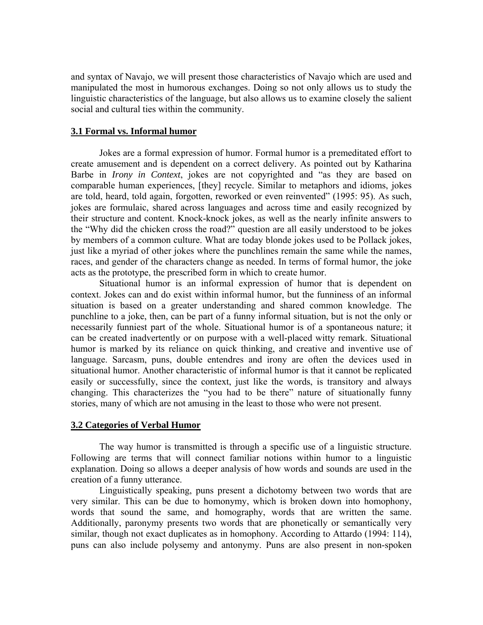and syntax of Navajo, we will present those characteristics of Navajo which are used and manipulated the most in humorous exchanges. Doing so not only allows us to study the linguistic characteristics of the language, but also allows us to examine closely the salient social and cultural ties within the community.

### **3.1 Formal vs. Informal humor**

Jokes are a formal expression of humor. Formal humor is a premeditated effort to create amusement and is dependent on a correct delivery. As pointed out by Katharina Barbe in *Irony in Context*, jokes are not copyrighted and "as they are based on comparable human experiences, [they] recycle. Similar to metaphors and idioms, jokes are told, heard, told again, forgotten, reworked or even reinvented" (1995: 95). As such, jokes are formulaic, shared across languages and across time and easily recognized by their structure and content. Knock-knock jokes, as well as the nearly infinite answers to the "Why did the chicken cross the road?" question are all easily understood to be jokes by members of a common culture. What are today blonde jokes used to be Pollack jokes, just like a myriad of other jokes where the punchlines remain the same while the names, races, and gender of the characters change as needed. In terms of formal humor, the joke acts as the prototype, the prescribed form in which to create humor.

Situational humor is an informal expression of humor that is dependent on context. Jokes can and do exist within informal humor, but the funniness of an informal situation is based on a greater understanding and shared common knowledge. The punchline to a joke, then, can be part of a funny informal situation, but is not the only or necessarily funniest part of the whole. Situational humor is of a spontaneous nature; it can be created inadvertently or on purpose with a well-placed witty remark. Situational humor is marked by its reliance on quick thinking, and creative and inventive use of language. Sarcasm, puns, double entendres and irony are often the devices used in situational humor. Another characteristic of informal humor is that it cannot be replicated easily or successfully, since the context, just like the words, is transitory and always changing. This characterizes the "you had to be there" nature of situationally funny stories, many of which are not amusing in the least to those who were not present.

## **3.2 Categories of Verbal Humor**

The way humor is transmitted is through a specific use of a linguistic structure. Following are terms that will connect familiar notions within humor to a linguistic explanation. Doing so allows a deeper analysis of how words and sounds are used in the creation of a funny utterance.

Linguistically speaking, puns present a dichotomy between two words that are very similar. This can be due to homonymy, which is broken down into homophony, words that sound the same, and homography, words that are written the same. Additionally, paronymy presents two words that are phonetically or semantically very similar, though not exact duplicates as in homophony. According to Attardo (1994: 114), puns can also include polysemy and antonymy. Puns are also present in non-spoken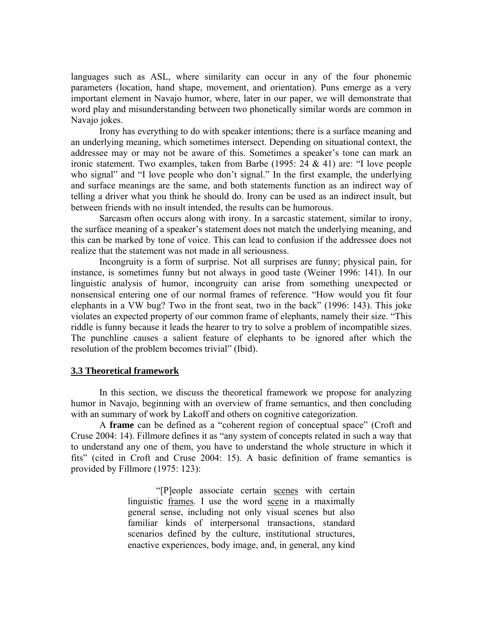languages such as ASL, where similarity can occur in any of the four phonemic parameters (location, hand shape, movement, and orientation). Puns emerge as a very important element in Navajo humor, where, later in our paper, we will demonstrate that word play and misunderstanding between two phonetically similar words are common in Navajo jokes.

 Irony has everything to do with speaker intentions; there is a surface meaning and an underlying meaning, which sometimes intersect. Depending on situational context, the addressee may or may not be aware of this. Sometimes a speaker's tone can mark an ironic statement. Two examples, taken from Barbe (1995:  $24 \& 41$ ) are: "I love people who signal" and "I love people who don't signal." In the first example, the underlying and surface meanings are the same, and both statements function as an indirect way of telling a driver what you think he should do. Irony can be used as an indirect insult, but between friends with no insult intended, the results can be humorous.

 Sarcasm often occurs along with irony. In a sarcastic statement, similar to irony, the surface meaning of a speaker's statement does not match the underlying meaning, and this can be marked by tone of voice. This can lead to confusion if the addressee does not realize that the statement was not made in all seriousness.

 Incongruity is a form of surprise. Not all surprises are funny; physical pain, for instance, is sometimes funny but not always in good taste (Weiner 1996: 141). In our linguistic analysis of humor, incongruity can arise from something unexpected or nonsensical entering one of our normal frames of reference. "How would you fit four elephants in a VW bug? Two in the front seat, two in the back" (1996: 143). This joke violates an expected property of our common frame of elephants, namely their size. "This riddle is funny because it leads the hearer to try to solve a problem of incompatible sizes. The punchline causes a salient feature of elephants to be ignored after which the resolution of the problem becomes trivial" (Ibid).

### **3.3 Theoretical framework**

 In this section, we discuss the theoretical framework we propose for analyzing humor in Navajo, beginning with an overview of frame semantics, and then concluding with an summary of work by Lakoff and others on cognitive categorization.

 A **frame** can be defined as a "coherent region of conceptual space" (Croft and Cruse 2004: 14). Fillmore defines it as "any system of concepts related in such a way that to understand any one of them, you have to understand the whole structure in which it fits" (cited in Croft and Cruse 2004: 15). A basic definition of frame semantics is provided by Fillmore (1975: 123):

> "[P]eople associate certain scenes with certain linguistic frames. I use the word scene in a maximally general sense, including not only visual scenes but also familiar kinds of interpersonal transactions, standard scenarios defined by the culture, institutional structures, enactive experiences, body image, and, in general, any kind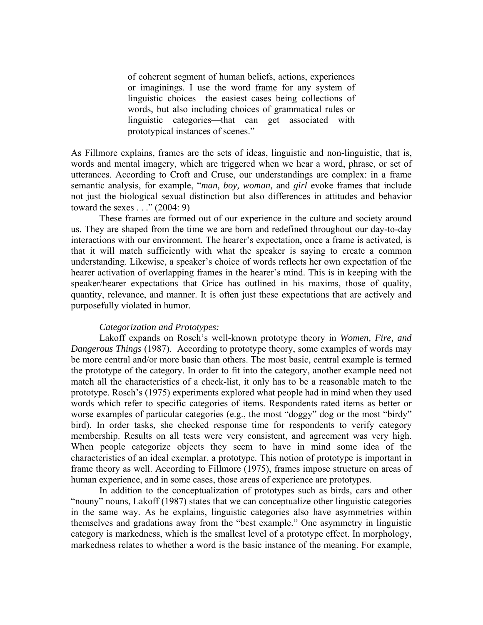of coherent segment of human beliefs, actions, experiences or imaginings. I use the word frame for any system of linguistic choices—the easiest cases being collections of words, but also including choices of grammatical rules or linguistic categories—that can get associated with prototypical instances of scenes."

As Fillmore explains, frames are the sets of ideas, linguistic and non-linguistic, that is, words and mental imagery, which are triggered when we hear a word, phrase, or set of utterances. According to Croft and Cruse, our understandings are complex: in a frame semantic analysis, for example, "*man, boy, woman,* and *girl* evoke frames that include not just the biological sexual distinction but also differences in attitudes and behavior toward the sexes  $\ldots$  " (2004: 9)

 These frames are formed out of our experience in the culture and society around us. They are shaped from the time we are born and redefined throughout our day-to-day interactions with our environment. The hearer's expectation, once a frame is activated, is that it will match sufficiently with what the speaker is saying to create a common understanding. Likewise, a speaker's choice of words reflects her own expectation of the hearer activation of overlapping frames in the hearer's mind. This is in keeping with the speaker/hearer expectations that Grice has outlined in his maxims, those of quality, quantity, relevance, and manner. It is often just these expectations that are actively and purposefully violated in humor.

### *Categorization and Prototypes:*

 Lakoff expands on Rosch's well-known prototype theory in *Women, Fire, and Dangerous Things* (1987). According to prototype theory, some examples of words may be more central and/or more basic than others. The most basic, central example is termed the prototype of the category. In order to fit into the category, another example need not match all the characteristics of a check-list, it only has to be a reasonable match to the prototype. Rosch's (1975) experiments explored what people had in mind when they used words which refer to specific categories of items. Respondents rated items as better or worse examples of particular categories (e.g., the most "doggy" dog or the most "birdy" bird). In order tasks, she checked response time for respondents to verify category membership. Results on all tests were very consistent, and agreement was very high. When people categorize objects they seem to have in mind some idea of the characteristics of an ideal exemplar, a prototype. This notion of prototype is important in frame theory as well. According to Fillmore (1975), frames impose structure on areas of human experience, and in some cases, those areas of experience are prototypes.

 In addition to the conceptualization of prototypes such as birds, cars and other "nouny" nouns, Lakoff (1987) states that we can conceptualize other linguistic categories in the same way. As he explains, linguistic categories also have asymmetries within themselves and gradations away from the "best example." One asymmetry in linguistic category is markedness, which is the smallest level of a prototype effect. In morphology, markedness relates to whether a word is the basic instance of the meaning. For example,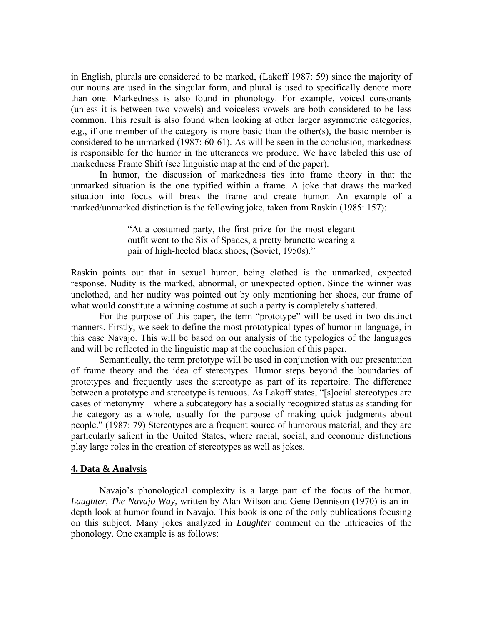in English, plurals are considered to be marked, (Lakoff 1987: 59) since the majority of our nouns are used in the singular form, and plural is used to specifically denote more than one. Markedness is also found in phonology. For example, voiced consonants (unless it is between two vowels) and voiceless vowels are both considered to be less common. This result is also found when looking at other larger asymmetric categories, e.g., if one member of the category is more basic than the other(s), the basic member is considered to be unmarked (1987: 60-61). As will be seen in the conclusion, markedness is responsible for the humor in the utterances we produce. We have labeled this use of markedness Frame Shift (see linguistic map at the end of the paper).

 In humor, the discussion of markedness ties into frame theory in that the unmarked situation is the one typified within a frame. A joke that draws the marked situation into focus will break the frame and create humor. An example of a marked/unmarked distinction is the following joke, taken from Raskin (1985: 157):

> "At a costumed party, the first prize for the most elegant outfit went to the Six of Spades, a pretty brunette wearing a pair of high-heeled black shoes, (Soviet, 1950s)."

Raskin points out that in sexual humor, being clothed is the unmarked, expected response. Nudity is the marked, abnormal, or unexpected option. Since the winner was unclothed, and her nudity was pointed out by only mentioning her shoes, our frame of what would constitute a winning costume at such a party is completely shattered.

 For the purpose of this paper, the term "prototype" will be used in two distinct manners. Firstly, we seek to define the most prototypical types of humor in language, in this case Navajo. This will be based on our analysis of the typologies of the languages and will be reflected in the linguistic map at the conclusion of this paper.

Semantically, the term prototype will be used in conjunction with our presentation of frame theory and the idea of stereotypes. Humor steps beyond the boundaries of prototypes and frequently uses the stereotype as part of its repertoire. The difference between a prototype and stereotype is tenuous. As Lakoff states, "[s]ocial stereotypes are cases of metonymy—where a subcategory has a socially recognized status as standing for the category as a whole, usually for the purpose of making quick judgments about people." (1987: 79) Stereotypes are a frequent source of humorous material, and they are particularly salient in the United States, where racial, social, and economic distinctions play large roles in the creation of stereotypes as well as jokes.

### **4. Data & Analysis**

Navajo's phonological complexity is a large part of the focus of the humor. *Laughter, The Navajo Way*, written by Alan Wilson and Gene Dennison (1970) is an indepth look at humor found in Navajo. This book is one of the only publications focusing on this subject. Many jokes analyzed in *Laughter* comment on the intricacies of the phonology. One example is as follows: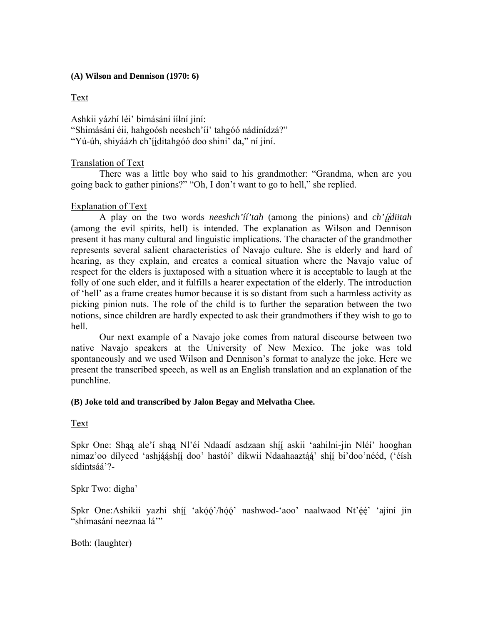### **(A) Wilson and Dennison (1970: 6)**

## Text

Ashkii yázhí léi' bimásání íílní jiní: "Shimásání éii, hahgoósh neeshch'íí' tahgóó nádínídzá?" "Yú-úh, shiyáázh ch'įditahgóó doo shini' da," ní jiní.

# Translation of Text

There was a little boy who said to his grandmother: "Grandma, when are you going back to gather pinions?" "Oh, I don't want to go to hell," she replied.

## Explanation of Text

A play on the two words *neeshch'íí'tah* (among the pinions) and *ch'*į*diitah* (among the evil spirits, hell) is intended. The explanation as Wilson and Dennison present it has many cultural and linguistic implications. The character of the grandmother represents several salient characteristics of Navajo culture. She is elderly and hard of hearing, as they explain, and creates a comical situation where the Navajo value of respect for the elders is juxtaposed with a situation where it is acceptable to laugh at the folly of one such elder, and it fulfills a hearer expectation of the elderly. The introduction of 'hell' as a frame creates humor because it is so distant from such a harmless activity as picking pinion nuts. The role of the child is to further the separation between the two notions, since children are hardly expected to ask their grandmothers if they wish to go to hell.

Our next example of a Navajo joke comes from natural discourse between two native Navajo speakers at the University of New Mexico. The joke was told spontaneously and we used Wilson and Dennison's format to analyze the joke. Here we present the transcribed speech, as well as an English translation and an explanation of the punchline.

## **(B) Joke told and transcribed by Jalon Begay and Melvatha Chee.**

## Text

Spkr One: Shąą ale'í shąą Nl'éí Ndaadí asdzaan shíí askii 'aahilni-jin Nléí' hooghan nimaz'oo dílyeed 'ashjááshíí doo' hastói' díkwii Ndaahaaztáá' shíí bi'doo'nééd, ('éísh sídintsáá'?-

Spkr Two: digha'

Spkr One:Ashikii yazhi shíí 'akóó'/hóó' nashwod-'aoo' naalwaod Nt'éé' 'ajiní jin "shímasání neeznaa lá'"

Both: (laughter)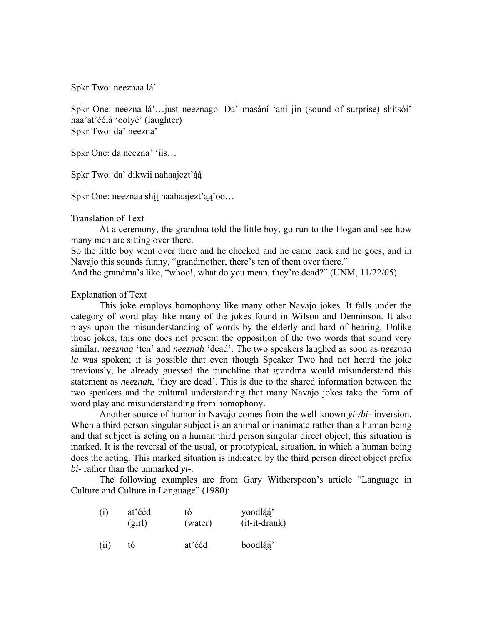Spkr Two: neeznaa lá'

Spkr One: neezna lá'…just neeznago. Da' masání 'aní jin (sound of surprise) shítsóí' haa'at'éélá 'oolyé' (laughter) Spkr Two: da' neezna'

Spkr One: da neezna' 'íís…

Spkr Two: da' dikwii nahaajezt'áá

Spkr One: neeznaa shij naahaajezt'aa'oo...

#### Translation of Text

At a ceremony, the grandma told the little boy, go run to the Hogan and see how many men are sitting over there.

So the little boy went over there and he checked and he came back and he goes, and in Navajo this sounds funny, "grandmother, there's ten of them over there."

And the grandma's like, "whoo!, what do you mean, they're dead?" (UNM, 11/22/05)

### Explanation of Text

This joke employs homophony like many other Navajo jokes. It falls under the category of word play like many of the jokes found in Wilson and Denninson. It also plays upon the misunderstanding of words by the elderly and hard of hearing. Unlike those jokes, this one does not present the opposition of the two words that sound very similar, *neeznaa* 'ten' and *neeznah* 'dead'. The two speakers laughed as soon as *neeznaa la* was spoken; it is possible that even though Speaker Two had not heard the joke previously, he already guessed the punchline that grandma would misunderstand this statement as *neeznah*, 'they are dead'. This is due to the shared information between the two speakers and the cultural understanding that many Navajo jokes take the form of word play and misunderstanding from homophony.

Another source of humor in Navajo comes from the well-known *yi-/bi-* inversion. When a third person singular subject is an animal or inanimate rather than a human being and that subject is acting on a human third person singular direct object, this situation is marked. It is the reversal of the usual, or prototypical, situation, in which a human being does the acting. This marked situation is indicated by the third person direct object prefix *bi-* rather than the unmarked *yi-*.

The following examples are from Gary Witherspoon's article "Language in Culture and Culture in Language" (1980):

| (i)  | at'ééd | tó      | yoodláá'        |
|------|--------|---------|-----------------|
|      | (girl) | (water) | $(it-it-drank)$ |
| (ii) | tó     | at'ééd  | boodláá'        |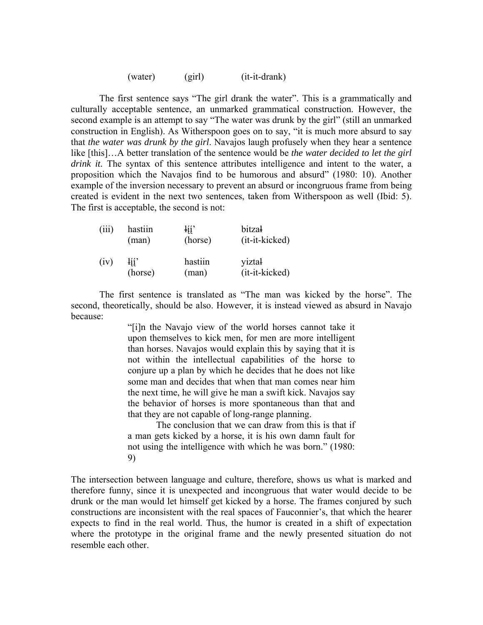| (water) | (girl) | $(it-it-drank)$ |
|---------|--------|-----------------|
|         |        |                 |

The first sentence says "The girl drank the water". This is a grammatically and culturally acceptable sentence, an unmarked grammatical construction. However, the second example is an attempt to say "The water was drunk by the girl" (still an unmarked construction in English). As Witherspoon goes on to say, "it is much more absurd to say that *the water was drunk by the girl*. Navajos laugh profusely when they hear a sentence like [this]…A better translation of the sentence would be *the water decided to let the girl drink it.* The syntax of this sentence attributes intelligence and intent to the water, a proposition which the Navajos find to be humorous and absurd" (1980: 10). Another example of the inversion necessary to prevent an absurd or incongruous frame from being created is evident in the next two sentences, taken from Witherspoon as well (Ibid: 5). The first is acceptable, the second is not:

| (111) | hastiin        | $\lim$         | bitzal         |
|-------|----------------|----------------|----------------|
|       | $(\text{man})$ | (horse)        | (it-it-kicked) |
| (iv)  | líí'           | hastiin        | yiztal         |
|       | (horse)        | $(\text{man})$ | (it-it-kicked) |

 The first sentence is translated as "The man was kicked by the horse". The second, theoretically, should be also. However, it is instead viewed as absurd in Navajo because:

> "[i]n the Navajo view of the world horses cannot take it upon themselves to kick men, for men are more intelligent than horses. Navajos would explain this by saying that it is not within the intellectual capabilities of the horse to conjure up a plan by which he decides that he does not like some man and decides that when that man comes near him the next time, he will give he man a swift kick. Navajos say the behavior of horses is more spontaneous than that and that they are not capable of long-range planning.

> The conclusion that we can draw from this is that if a man gets kicked by a horse, it is his own damn fault for not using the intelligence with which he was born." (1980: 9)

The intersection between language and culture, therefore, shows us what is marked and therefore funny, since it is unexpected and incongruous that water would decide to be drunk or the man would let himself get kicked by a horse. The frames conjured by such constructions are inconsistent with the real spaces of Fauconnier's, that which the hearer expects to find in the real world. Thus, the humor is created in a shift of expectation where the prototype in the original frame and the newly presented situation do not resemble each other.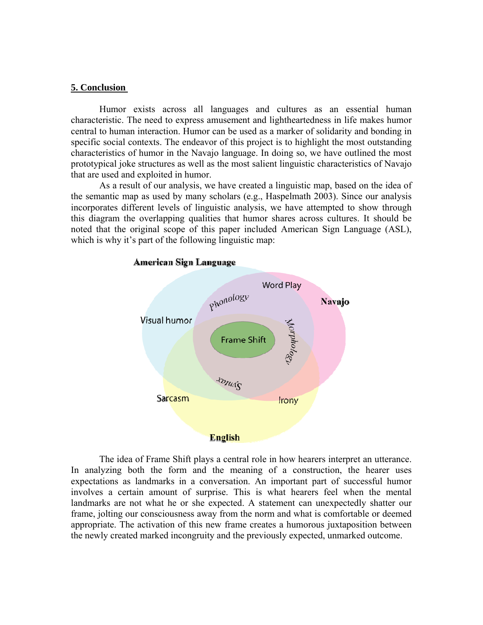#### **5. Conclusion**

Humor exists across all languages and cultures as an essential human characteristic. The need to express amusement and lightheartedness in life makes humor central to human interaction. Humor can be used as a marker of solidarity and bonding in specific social contexts. The endeavor of this project is to highlight the most outstanding characteristics of humor in the Navajo language. In doing so, we have outlined the most prototypical joke structures as well as the most salient linguistic characteristics of Navajo that are used and exploited in humor.

As a result of our analysis, we have created a linguistic map, based on the idea of the semantic map as used by many scholars (e.g., Haspelmath 2003). Since our analysis incorporates different levels of linguistic analysis, we have attempted to show through this diagram the overlapping qualities that humor shares across cultures. It should be noted that the original scope of this paper included American Sign Language (ASL), which is why it's part of the following linguistic map:



### **American Sign Language**

The idea of Frame Shift plays a central role in how hearers interpret an utterance. In analyzing both the form and the meaning of a construction, the hearer uses expectations as landmarks in a conversation. An important part of successful humor involves a certain amount of surprise. This is what hearers feel when the mental landmarks are not what he or she expected. A statement can unexpectedly shatter our frame, jolting our consciousness away from the norm and what is comfortable or deemed appropriate. The activation of this new frame creates a humorous juxtaposition between the newly created marked incongruity and the previously expected, unmarked outcome.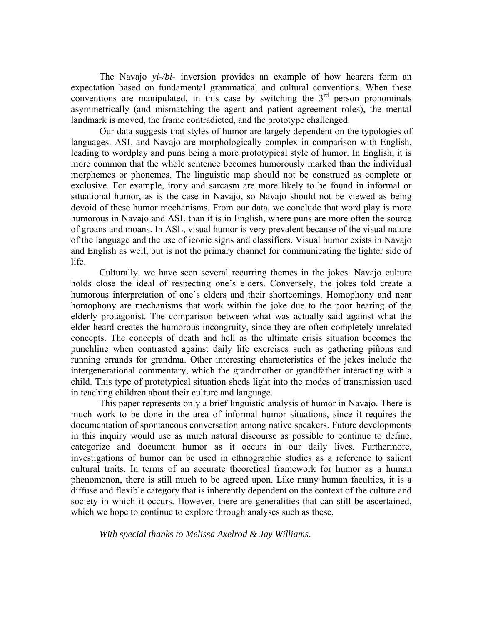The Navajo *yi-/bi-* inversion provides an example of how hearers form an expectation based on fundamental grammatical and cultural conventions. When these conventions are manipulated, in this case by switching the  $3<sup>rd</sup>$  person pronominals asymmetrically (and mismatching the agent and patient agreement roles), the mental landmark is moved, the frame contradicted, and the prototype challenged.

Our data suggests that styles of humor are largely dependent on the typologies of languages. ASL and Navajo are morphologically complex in comparison with English, leading to wordplay and puns being a more prototypical style of humor. In English, it is more common that the whole sentence becomes humorously marked than the individual morphemes or phonemes. The linguistic map should not be construed as complete or exclusive. For example, irony and sarcasm are more likely to be found in informal or situational humor, as is the case in Navajo, so Navajo should not be viewed as being devoid of these humor mechanisms. From our data, we conclude that word play is more humorous in Navajo and ASL than it is in English, where puns are more often the source of groans and moans. In ASL, visual humor is very prevalent because of the visual nature of the language and the use of iconic signs and classifiers. Visual humor exists in Navajo and English as well, but is not the primary channel for communicating the lighter side of life.

Culturally, we have seen several recurring themes in the jokes. Navajo culture holds close the ideal of respecting one's elders. Conversely, the jokes told create a humorous interpretation of one's elders and their shortcomings. Homophony and near homophony are mechanisms that work within the joke due to the poor hearing of the elderly protagonist. The comparison between what was actually said against what the elder heard creates the humorous incongruity, since they are often completely unrelated concepts. The concepts of death and hell as the ultimate crisis situation becomes the punchline when contrasted against daily life exercises such as gathering piñons and running errands for grandma. Other interesting characteristics of the jokes include the intergenerational commentary, which the grandmother or grandfather interacting with a child. This type of prototypical situation sheds light into the modes of transmission used in teaching children about their culture and language.

This paper represents only a brief linguistic analysis of humor in Navajo. There is much work to be done in the area of informal humor situations, since it requires the documentation of spontaneous conversation among native speakers. Future developments in this inquiry would use as much natural discourse as possible to continue to define, categorize and document humor as it occurs in our daily lives. Furthermore, investigations of humor can be used in ethnographic studies as a reference to salient cultural traits. In terms of an accurate theoretical framework for humor as a human phenomenon, there is still much to be agreed upon. Like many human faculties, it is a diffuse and flexible category that is inherently dependent on the context of the culture and society in which it occurs. However, there are generalities that can still be ascertained, which we hope to continue to explore through analyses such as these.

*With special thanks to Melissa Axelrod & Jay Williams.*